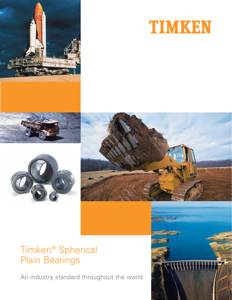







### Timken® Spherical Plain Bearings

An industry standard throughout the world.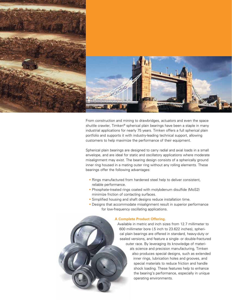

From construction and mining to drawbridges, actuators and even the space shuttle crawler, Timken® spherical plain bearings have been a staple in many industrial applications for nearly 75 years. Timken offers a full spherical plain portfolio and supports it with industry-leading technical support, allowing customers to help maximize the performance of their equipment.

Spherical plain bearings are designed to carry radial and axial loads in a small envelope, and are ideal for static and oscillatory applications where moderate misalignment may exist. The bearing design consists of a spherically ground inner ring housed in a mating outer ring without any rolling elements. These bearings offer the following advantages:

- Rings manufactured from hardened steel help to deliver consistent, reliable performance.
- Phosphate-treated rings coated with molybdenum disulfide (MoS2) minimize friction of contacting surfaces.
- Simplified housing and shaft designs reduce installation time.
- Designs that accommodate misalignment result in superior performance for low-frequency oscillating applications.

### **A Complete Product Offering.**

Available in metric and inch sizes from 12.7 millimeter to 600 millimeter bore (.5 inch to 23.622 inches), spherical plain bearings are offered in standard, heavy-duty or sealed versions, and feature a single- or double-fractured outer race. By leveraging its knowledge of materials science and precision manufacturing, Timken also produces special designs, such as extended inner rings, lubrication holes and grooves, and special materials to reduce friction and handle shock loading. These features help to enhance the bearing's performance, especially in unique operating environments.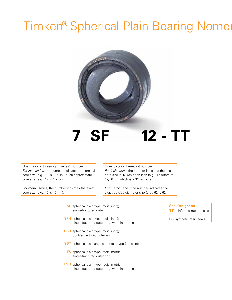## Timken® Spherical Plain Bearing Nomer



One-, two- or three-digit "series" number. For inch series, the number indicates the nominal bore size (e.g., 10 is 1.00 in.) or an approximate bore size (e.g., 17 is 1.75 in.).

For metric series, the number indicates the exact bore size (e.g., 40 is 40mm).

One-, two- or three-digit number. For inch series, the number indicates the exact bore size in 1/16th of an inch (e.g., 12 refers to 12/16 in., which is a 3/4-in. bore).

For metric series, the number indicates the exact outside diameter size (e.g., 62 is 62mm).

| <b>SF</b> spherical plain type (radial inch);<br>single-fractured outer ring                     |
|--------------------------------------------------------------------------------------------------|
| <b>SFH</b> spherical plain type (radial inch);<br>single-fractured outer ring, wide inner ring   |
| <b>SBB</b> spherical plain type (radial inch);<br>double-fractured outer ring                    |
| <b>SBT</b> spherical plain angular contact type (radial inch)                                    |
| <b>FS</b> spherical plain type (radial metric);<br>single-fractured outer ring                   |
| <b>FSH</b> spherical plain type (radial metric);<br>single-fractured outer ring, wide inner ring |

### **Seal Designator:**

**TT** reinforced rubber seals

**SS** synthetic resin seals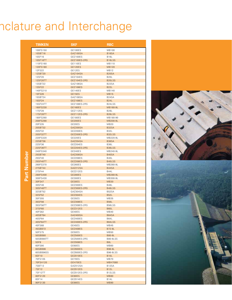# nclature and Interchange

|             | <b>TIMKEN</b>               | <b>SKF</b>                     | <b>RBC</b>                           |
|-------------|-----------------------------|--------------------------------|--------------------------------------|
|             | 100FS150                    | GE100ES                        | <b>MB100</b>                         |
|             | 10SBT16                     | GAZ100SA                       | <b>B16SA</b>                         |
|             | 10SF16                      | GEZ100ES                       | <b>B16L</b>                          |
|             | 10SF16TT                    | GEZ100ES-2RS                   | B16LSS                               |
|             | 110FS160                    | GF110FS                        | MB110                                |
|             | 120FS180                    | <b>GE120ES</b>                 | <b>MB120</b>                         |
|             | 12FS22<br>12SBT20           | GE12ES<br>GAZ104SA             | <b>MB12</b><br>B <sub>20</sub> SA    |
|             | 12SF20                      | GEZ104ES                       | <b>B20L</b>                          |
|             | <b>12SF20TT</b>             | GEZ104ES-2RS                   | B <sub>20</sub> LSS                  |
|             | 13SBT22                     | GAZ106SA                       | B22SA                                |
|             | 13SF22                      | GEZ106ES                       | <b>B22L</b>                          |
|             | 140FS210<br>15FS26          | GE140ES<br>GF15FS              | MB140<br><b>MB15</b>                 |
|             | 15SBT24                     | GAZ108SA                       | B24SA                                |
|             | 15SF24                      | GEZ108ES                       | <b>B24L</b>                          |
|             | 15SF24TT                    | GEZ108ES-2RS                   | B24LSS                               |
|             | 160FS230                    | <b>GE160ES</b>                 | MB160-9L                             |
|             | <b>17SF28</b>               | GEZ112ES                       | <b>B28L</b>                          |
|             | <b>17SF28TT</b><br>180FS260 | GEZ112ES-2RS<br><b>GE180ES</b> | B <sub>28</sub> LSS<br>MB180-90      |
|             | 200FS290                    | <b>GE200ES</b>                 | MB200-9L                             |
|             | 20FS35                      | GE20ES                         | MB20                                 |
|             | 20SBT32                     | GAZ200SA                       | B32SA                                |
|             | 20SF32                      | GEZ200ES                       | B321                                 |
|             | 20SF32TT                    | GEZ200ES-2RS                   | B32LSS                               |
|             | 220FS320<br>22SBT36         | GE220ES<br>GAZ204SA            | MB220-9L<br>B36SA                    |
|             | 22SF36                      | GEZ204ES                       | <b>B36L</b>                          |
|             | 22SF36TT                    | GEZ204ES-2RS                   | B36LSS                               |
|             | 240FS340                    | GE240ES                        | MB240-9L                             |
| Part Number | 25SBT40                     | GAZ208SA                       | B40SA                                |
|             | 25SF40                      | GEZ208ES                       | B40L                                 |
|             | 25SF40TT<br>260FS370        | <b>GEZ208ES-2RS</b><br>GE260ES | B40LSS<br>MB260-9L                   |
|             | 27SBT44                     | GAZ212SA                       | B44SA                                |
|             | 27SF44                      | GEZ212ES                       | <b>B44L</b>                          |
|             | 280FS400                    | GE280ES                        | MB280-9L                             |
|             | 300FS430                    | GE300ES                        | MB300-9L                             |
|             | 30FS47<br>30SF48            | GE30ES<br>GEZ300ES             | <b>MB30</b><br>B48L                  |
|             | 30SF48TT                    | GEZ300ES-2RS                   | B48LSS                               |
|             | 32SBT52                     | GAZ304SA                       | B52SA                                |
|             | 32SF52                      | GEZ304ES                       | <b>B52L</b>                          |
|             | 35FS55                      | GE35ES                         | MB35                                 |
|             | 35SF56                      | GEZ308ES                       | <b>B56L</b>                          |
|             | 35SF56TT<br>37SF60          | GEZ308ES-2RS<br>GEZ312ES       | B56LSS<br><b>B60L</b>                |
|             | 40FS62                      | GE40ES                         | MB40                                 |
|             | 40SBT64                     | GAZ400SA                       | B64SA                                |
|             | 40SF64                      | GEZ400ES                       | B64L                                 |
|             | 40SF64TT                    | GEZ400ES-2RS                   | B64LSS                               |
|             | 45FS68                      | GE45ES                         | MB45                                 |
|             | 45SBB72<br>50FS75           | GEZ408ES<br>GE50ES             | B72-9L<br>MB50                       |
|             | 50SBB80                     | GEZ500ES                       | B80-9L                               |
|             | 50SBB80TT                   | GEZ500ES-2RS                   | B80-9LSS                             |
|             | 5SF8                        | GEZ008ES                       | B8L                                  |
|             | 60FS90                      | GE60ES                         | MB60                                 |
|             | 60SBB96                     | GEZ600ES                       | B96-9L                               |
|             | 60SBB96SS<br>6SF10          | GEZ600ES-2RS<br>GEZ010ES       | <b>B96-9LSS</b><br>B <sub>10</sub> L |
|             | 70FS105                     | GE70ES                         | MB70                                 |
|             | 70FSH120                    | GEH70ES                        | <b>MBH7080</b>                       |
|             | 7SBT12                      | GAZ012SA                       | B12SA                                |
|             | 7SF12                       | GEZ012ES                       | <b>B12L</b>                          |
|             | 7SF12TT                     | GEZ012ES-2RS                   | B <sub>12</sub> LSS                  |
|             | 80FS120                     | GE80ES                         | <b>MB80</b>                          |
|             | 8SF14<br>90FS130            | GEZ014ES<br>GE90ES             | B14L<br><b>MB90</b>                  |
|             |                             |                                |                                      |

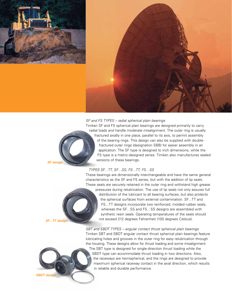

### SF and FS TYPES – radial spherical plain bearings

Timken SF and FS spherical plain bearings are designed primarily to carry radial loads and handle moderate misalignment. The outer ring is usually fractured axially in one place, parallel to its axis, to permit assembly of the bearing rings. This design can also be supplied with doublefractured outer rings (designation SBB) for easier assembly in an application. The SF type is designed to inch dimensions, while the FS type is a metric-designed series. Timken also manufactures sealed versions of these bearings.

#### TYPES SF…TT, SF…SS, FS…TT, FS…SS

These bearings are dimensionally interchangeable and have the same general characteristics as the SF and FS series, but with the addition of lip seals. These seals are securely retained in the outer ring and withstand high grease

pressures during relubrication. The use of lip seals not only assures full distribution of the lubricant to all bearing surfaces, but also protects the spherical surfaces from external contamination. SF…TT and FS…TT designs incorporate two reinforced, molded rubber seals, whereas the SF…SS and FS…SS designs are assembled with synthetic resin seals. Operating temperatures of the seals should not exceed 212 degrees Fahrenheit (100 degrees Celsius).

**SF...TT design**

**SF design**

**SBDT design**

lubricating holes and grooves in the outer ring for easy relubrication through the housing. These designs allow for thrust loading and some misalignment. The SBT type is designed for single-direction thrust loading while the SBDT type can accommodate thrust loading in two directions. Also, the raceways are hemispherical, and the rings are designed to provide maximum spherical raceway contact in the axial direction, which results in reliable and durable performance.

SBT and SBDT TYPES – angular contact thrust spherical plain bearings Timken SBT and SBDT angular contact thrust spherical plain bearings feature